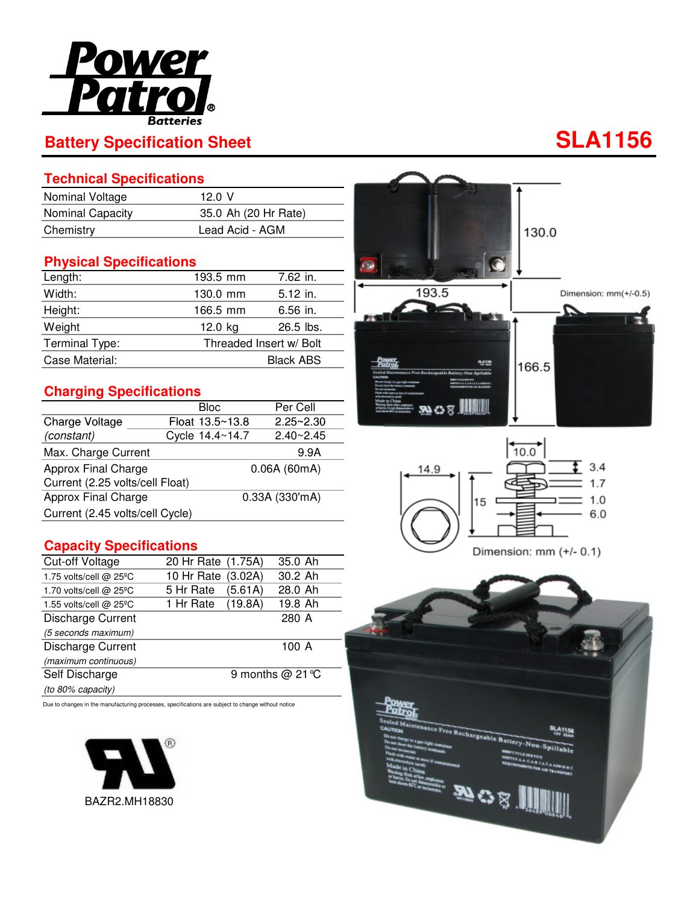

# **Battery Specification Sheet SLA1156**

### **Technical Specifications**

| Nominal Voltage         | 12.0 V               |
|-------------------------|----------------------|
| <b>Nominal Capacity</b> | 35.0 Ah (20 Hr Rate) |
| Chemistry               | Lead Acid - AGM      |

### **Physical Specifications**

| Length:        | 193.5 mm | 7.62 in.                |  |  |
|----------------|----------|-------------------------|--|--|
| Width:         | 130.0 mm | $5.12$ in.              |  |  |
| Height:        | 166.5 mm | $6.56$ in.              |  |  |
| Weight         | 12.0 kg  | $26.5$ lbs.             |  |  |
| Terminal Type: |          | Threaded Insert w/ Bolt |  |  |
| Case Material: |          | <b>Black ABS</b>        |  |  |

#### **Charging Specifications**

|                                 | Bloc.           | Per Cell       |  |
|---------------------------------|-----------------|----------------|--|
| Charge Voltage                  | Float 13.5~13.8 | $2.25 - 2.30$  |  |
| (constant)                      | Cycle 14.4~14.7 | $2.40 - 2.45$  |  |
| Max. Charge Current             |                 | 9.9A           |  |
| Approx Final Charge             | 0.06A(60mA)     |                |  |
| Current (2.25 volts/cell Float) |                 |                |  |
| Approx Final Charge             |                 | 0.33A (330'mA) |  |
| Current (2.45 volts/cell Cycle) |                 |                |  |

#### **Capacity Specifications**

| <b>Cut-off Voltage</b>   | 20 Hr Rate (1.75A) |         | 35.0 Ah          |
|--------------------------|--------------------|---------|------------------|
| 1.75 volts/cell @ 25°C   | 10 Hr Rate (3.02A) |         | 30.2 Ah          |
| 1.70 volts/cell @ 25°C   | 5 Hr Rate          | (5.61A) | 28.0 Ah          |
| 1.55 volts/cell @ 25°C   | 1 Hr Rate (19.8A)  |         | 19.8 Ah          |
| <b>Discharge Current</b> |                    |         | 280 A            |
| (5 seconds maximum)      |                    |         |                  |
| Discharge Current        |                    |         | 100A             |
| (maximum continuous)     |                    |         |                  |
| Self Discharge           |                    |         | 9 months @ 21 °C |
| (to 80% capacity)        |                    |         |                  |

Due to changes in the manufacturing processes, specifications are subject to change without notice







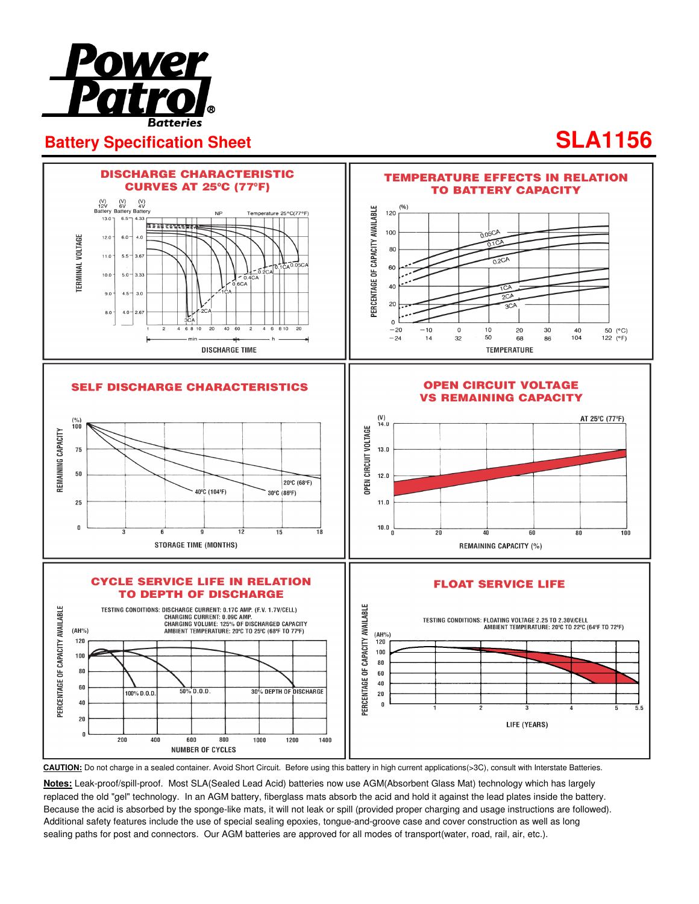

## **Battery Specification Sheet SLA1156**



**CAUTION:** Do not charge in a sealed container. Avoid Short Circuit. Before using this battery in high current applications(>3C), consult with Interstate Batteries.

**Notes:** Leak-proof/spill-proof. Most SLA(Sealed Lead Acid) batteries now use AGM(Absorbent Glass Mat) technology which has largely replaced the old "gel" technology. In an AGM battery, fiberglass mats absorb the acid and hold it against the lead plates inside the battery. Because the acid is absorbed by the sponge-like mats, it will not leak or spill (provided proper charging and usage instructions are followed). Additional safety features include the use of special sealing epoxies, tongue-and-groove case and cover construction as well as long sealing paths for post and connectors. Our AGM batteries are approved for all modes of transport(water, road, rail, air, etc.).